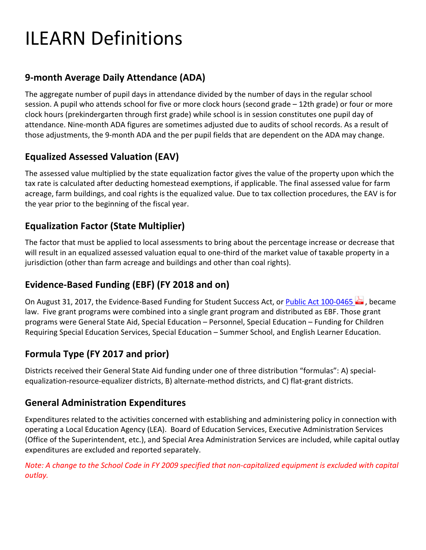# ILEARN Definitions

# **9‐month Average Daily Attendance (ADA)**

The aggregate number of pupil days in attendance divided by the number of days in the regular school session. A pupil who attends school for five or more clock hours (second grade – 12th grade) or four or more clock hours (prekindergarten through first grade) while school is in session constitutes one pupil day of attendance. Nine‐month ADA figures are sometimes adjusted due to audits of school records. As a result of those adjustments, the 9‐month ADA and the per pupil fields that are dependent on the ADA may change.

# **Equalized Assessed Valuation (EAV)**

The assessed value multiplied by the state equalization factor gives the value of the property upon which the tax rate is calculated after deducting homestead exemptions, if applicable. The final assessed value for farm acreage, farm buildings, and coal rights is the equalized value. Due to tax collection procedures, the EAV is for the year prior to the beginning of the fiscal year.

# **Equalization Factor (State Multiplier)**

The factor that must be applied to local assessments to bring about the percentage increase or decrease that will result in an equalized assessed valuation equal to one‐third of the market value of taxable property in a jurisdiction (other than farm acreage and buildings and other than coal rights).

# **Evidence‐Based Funding (EBF) (FY 2018 and on)**

On August 31, 2017, the Evidence-Based Funding for Student Success Act, or Public Act 100-0465 . became law. Five grant programs were combined into a single grant program and distributed as EBF. Those grant programs were General State Aid, Special Education – Personnel, Special Education – Funding for Children Requiring Special Education Services, Special Education – Summer School, and English Learner Education.

# **Formula Type (FY 2017 and prior)**

Districts received their General State Aid funding under one of three distribution "formulas": A) special‐ equalization-resource-equalizer districts, B) alternate-method districts, and C) flat-grant districts.

## **General Administration Expenditures**

Expenditures related to the activities concerned with establishing and administering policy in connection with operating a Local Education Agency (LEA). Board of Education Services, Executive Administration Services (Office of the Superintendent, etc.), and Special Area Administration Services are included, while capital outlay expenditures are excluded and reported separately.

Note: A change to the School Code in FY 2009 specified that non-capitalized equipment is excluded with capital *outlay.*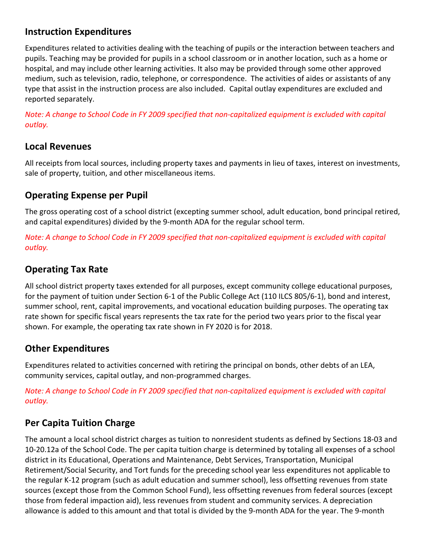# **Instruction Expenditures**

Expenditures related to activities dealing with the teaching of pupils or the interaction between teachers and pupils. Teaching may be provided for pupils in a school classroom or in another location, such as a home or hospital, and may include other learning activities. It also may be provided through some other approved medium, such as television, radio, telephone, or correspondence. The activities of aides or assistants of any type that assist in the instruction process are also included. Capital outlay expenditures are excluded and reported separately.

Note: A change to School Code in FY 2009 specified that non-capitalized equipment is excluded with capital *outlay.* 

#### **Local Revenues**

All receipts from local sources, including property taxes and payments in lieu of taxes, interest on investments, sale of property, tuition, and other miscellaneous items.

## **Operating Expense per Pupil**

The gross operating cost of a school district (excepting summer school, adult education, bond principal retired, and capital expenditures) divided by the 9‐month ADA for the regular school term.

Note: A change to School Code in FY 2009 specified that non-capitalized equipment is excluded with capital  $outlay.$ 

### **Operating Tax Rate**

All school district property taxes extended for all purposes, except community college educational purposes, for the payment of tuition under Section 6‐1 of the Public College Act (110 ILCS 805/6‐1), bond and interest, summer school, rent, capital improvements, and vocational education building purposes. The operating tax rate shown for specific fiscal years represents the tax rate for the period two years prior to the fiscal year shown. For example, the operating tax rate shown in FY 2020 is for 2018.

## **Other Expenditures**

Expenditures related to activities concerned with retiring the principal on bonds, other debts of an LEA, community services, capital outlay, and non‐programmed charges.

Note: A change to School Code in FY 2009 specified that non-capitalized equipment is excluded with capital  $outlay.$ 

# **Per Capita Tuition Charge**

The amount a local school district charges as tuition to nonresident students as defined by Sections 18‐03 and 10‐20.12a of the School Code. The per capita tuition charge is determined by totaling all expenses of a school district in its Educational, Operations and Maintenance, Debt Services, Transportation, Municipal Retirement/Social Security, and Tort funds for the preceding school year less expenditures not applicable to the regular K‐12 program (such as adult education and summer school), less offsetting revenues from state sources (except those from the Common School Fund), less offsetting revenues from federal sources (except those from federal impaction aid), less revenues from student and community services. A depreciation allowance is added to this amount and that total is divided by the 9‐month ADA for the year. The 9‐month